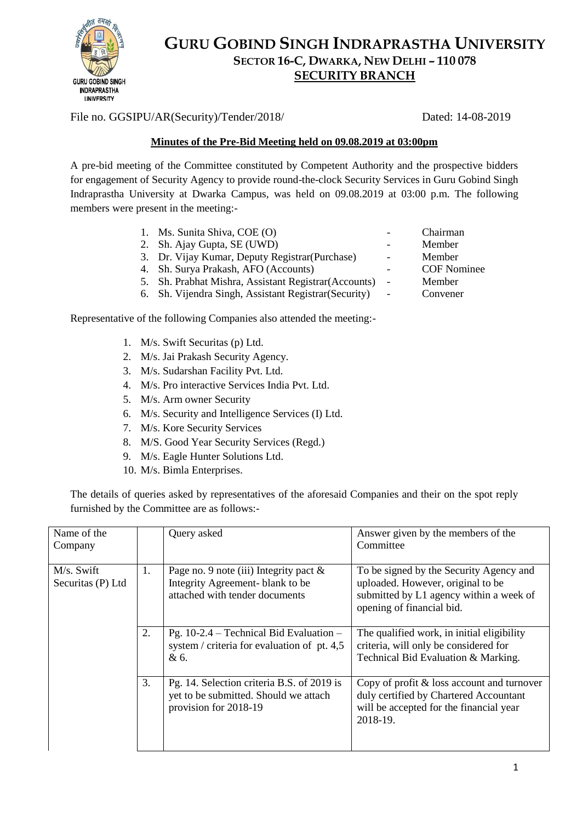

## **GURU GOBIND SINGH INDRAPRASTHA UNIVERSITY SECTOR 16-C, DWARKA, NEW DELHI – 110 078 SECURITY BRANCH**

File no. GGSIPU/AR(Security)/Tender/2018/ Dated: 14-08-2019

## **Minutes of the Pre-Bid Meeting held on 09.08.2019 at 03:00pm**

A pre-bid meeting of the Committee constituted by Competent Authority and the prospective bidders for engagement of Security Agency to provide round-the-clock Security Services in Guru Gobind Singh Indraprastha University at Dwarka Campus, was held on 09.08.2019 at 03:00 p.m. The following members were present in the meeting:-

- 1. Ms. Sunita Shiva, COE (O) Chairman
- 2. Sh. Ajay Gupta, SE (UWD) Member
- 3. Dr. Vijay Kumar, Deputy Registrar(Purchase) Member
- 4. Sh. Surya Prakash, AFO (Accounts) COF Nominee
- 5. Sh. Prabhat Mishra, Assistant Registrar(Accounts) Member
- 6. Sh. Vijendra Singh, Assistant Registrar(Security) Convener

Representative of the following Companies also attended the meeting:-

- 1. M/s. Swift Securitas (p) Ltd.
- 2. M/s. Jai Prakash Security Agency.
- 3. M/s. Sudarshan Facility Pvt. Ltd.
- 4. M/s. Pro interactive Services India Pvt. Ltd.
- 5. M/s. Arm owner Security
- 6. M/s. Security and Intelligence Services (I) Ltd.
- 7. M/s. Kore Security Services
- 8. M/S. Good Year Security Services (Regd.)
- 9. M/s. Eagle Hunter Solutions Ltd.
- 10. M/s. Bimla Enterprises.

The details of queries asked by representatives of the aforesaid Companies and their on the spot reply furnished by the Committee are as follows:-

| Name of the<br>Company          |    | Query asked                                                                                                     | Answer given by the members of the<br>Committee                                                                                                      |
|---------------------------------|----|-----------------------------------------------------------------------------------------------------------------|------------------------------------------------------------------------------------------------------------------------------------------------------|
| M/s. Swift<br>Securitas (P) Ltd | 1. | Page no. 9 note (iii) Integrity pact $\&$<br>Integrity Agreement- blank to be<br>attached with tender documents | To be signed by the Security Agency and<br>uploaded. However, original to be<br>submitted by L1 agency within a week of<br>opening of financial bid. |
|                                 | 2. | Pg. $10-2.4$ – Technical Bid Evaluation –<br>system / criteria for evaluation of pt. 4,5<br>& 6.                | The qualified work, in initial eligibility<br>criteria, will only be considered for<br>Technical Bid Evaluation & Marking.                           |
|                                 | 3. | Pg. 14. Selection criteria B.S. of 2019 is<br>yet to be submitted. Should we attach<br>provision for 2018-19    | Copy of profit $&$ loss account and turnover<br>duly certified by Chartered Accountant<br>will be accepted for the financial year<br>2018-19.        |

- 
- 
- -
	-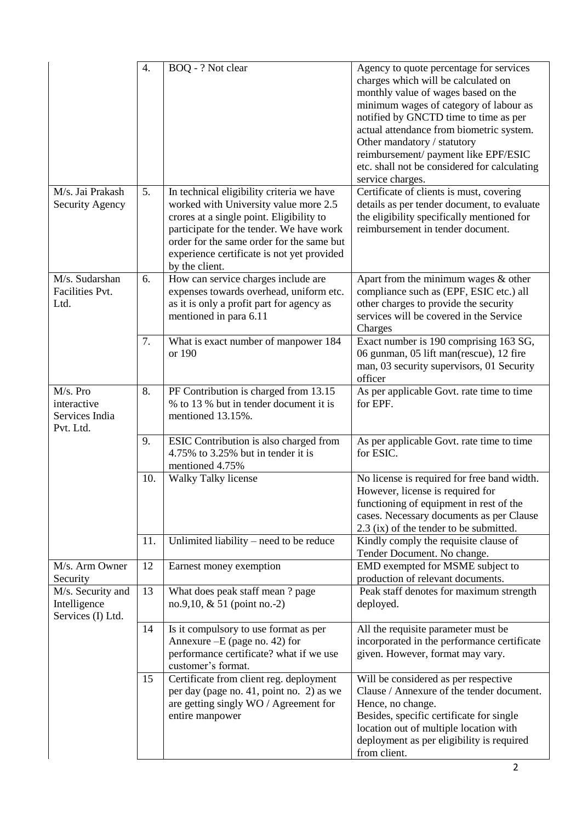|                                                        | $\overline{4}$ . | BOQ - ? Not clear                                                                                                                                                                                                                                                                       | Agency to quote percentage for services<br>charges which will be calculated on<br>monthly value of wages based on the<br>minimum wages of category of labour as<br>notified by GNCTD time to time as per<br>actual attendance from biometric system.<br>Other mandatory / statutory<br>reimbursement/payment like EPF/ESIC<br>etc. shall not be considered for calculating<br>service charges. |
|--------------------------------------------------------|------------------|-----------------------------------------------------------------------------------------------------------------------------------------------------------------------------------------------------------------------------------------------------------------------------------------|------------------------------------------------------------------------------------------------------------------------------------------------------------------------------------------------------------------------------------------------------------------------------------------------------------------------------------------------------------------------------------------------|
| M/s. Jai Prakash<br><b>Security Agency</b>             | 5.               | In technical eligibility criteria we have<br>worked with University value more 2.5<br>crores at a single point. Eligibility to<br>participate for the tender. We have work<br>order for the same order for the same but<br>experience certificate is not yet provided<br>by the client. | Certificate of clients is must, covering<br>details as per tender document, to evaluate<br>the eligibility specifically mentioned for<br>reimbursement in tender document.                                                                                                                                                                                                                     |
| M/s. Sudarshan<br>Facilities Pvt.<br>Ltd.              | 6.               | How can service charges include are<br>expenses towards overhead, uniform etc.<br>as it is only a profit part for agency as<br>mentioned in para 6.11                                                                                                                                   | Apart from the minimum wages & other<br>compliance such as (EPF, ESIC etc.) all<br>other charges to provide the security<br>services will be covered in the Service<br>Charges                                                                                                                                                                                                                 |
|                                                        | 7.               | What is exact number of manpower 184<br>or 190                                                                                                                                                                                                                                          | Exact number is 190 comprising 163 SG,<br>06 gunman, 05 lift man(rescue), 12 fire<br>man, 03 security supervisors, 01 Security<br>officer                                                                                                                                                                                                                                                      |
| M/s. Pro<br>interactive<br>Services India<br>Pvt. Ltd. | 8.               | PF Contribution is charged from 13.15<br>% to 13 % but in tender document it is<br>mentioned 13.15%.                                                                                                                                                                                    | As per applicable Govt. rate time to time<br>for EPF.                                                                                                                                                                                                                                                                                                                                          |
|                                                        | 9.               | ESIC Contribution is also charged from<br>4.75% to 3.25% but in tender it is<br>mentioned 4.75%                                                                                                                                                                                         | As per applicable Govt. rate time to time<br>for ESIC.                                                                                                                                                                                                                                                                                                                                         |
|                                                        | 10.              | Walky Talky license                                                                                                                                                                                                                                                                     | No license is required for free band width.<br>However, license is required for<br>functioning of equipment in rest of the<br>cases. Necessary documents as per Clause<br>2.3 (ix) of the tender to be submitted.                                                                                                                                                                              |
|                                                        | 11.              | Unlimited liability $-$ need to be reduce                                                                                                                                                                                                                                               | Kindly comply the requisite clause of<br>Tender Document. No change.                                                                                                                                                                                                                                                                                                                           |
| M/s. Arm Owner<br>Security                             | 12               | Earnest money exemption                                                                                                                                                                                                                                                                 | EMD exempted for MSME subject to<br>production of relevant documents.                                                                                                                                                                                                                                                                                                                          |
| M/s. Security and<br>Intelligence<br>Services (I) Ltd. | 13               | What does peak staff mean? page<br>no.9,10, $& 51$ (point no.-2)                                                                                                                                                                                                                        | Peak staff denotes for maximum strength<br>deployed.                                                                                                                                                                                                                                                                                                                                           |
|                                                        | 14               | Is it compulsory to use format as per<br>Annexure $-E$ (page no. 42) for<br>performance certificate? what if we use<br>customer's format.                                                                                                                                               | All the requisite parameter must be<br>incorporated in the performance certificate<br>given. However, format may vary.                                                                                                                                                                                                                                                                         |
|                                                        | 15               | Certificate from client reg. deployment<br>per day (page no. 41, point no. 2) as we<br>are getting singly WO / Agreement for<br>entire manpower                                                                                                                                         | Will be considered as per respective<br>Clause / Annexure of the tender document.<br>Hence, no change.<br>Besides, specific certificate for single<br>location out of multiple location with<br>deployment as per eligibility is required<br>from client.                                                                                                                                      |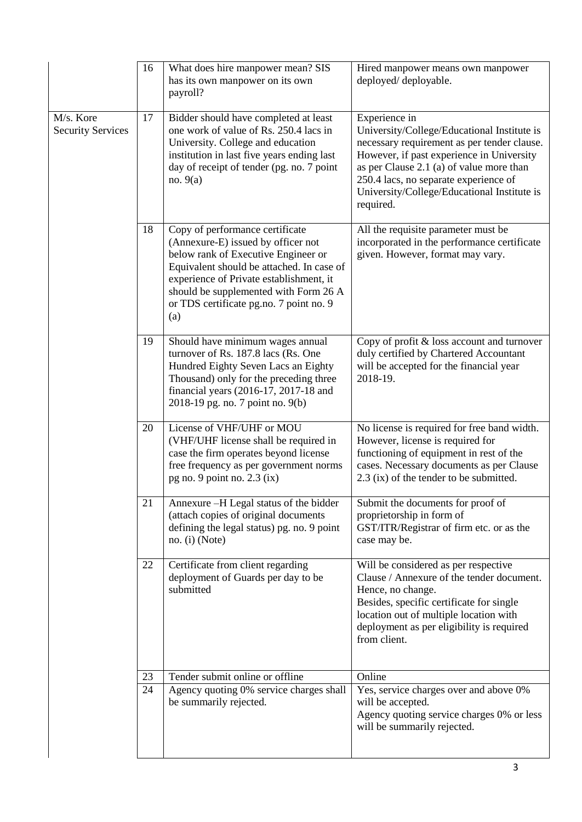|                                       | 16 | What does hire manpower mean? SIS<br>has its own manpower on its own<br>payroll?                                                                                                                                                                                                                | Hired manpower means own manpower<br>deployed/deployable.                                                                                                                                                                                                                                                 |
|---------------------------------------|----|-------------------------------------------------------------------------------------------------------------------------------------------------------------------------------------------------------------------------------------------------------------------------------------------------|-----------------------------------------------------------------------------------------------------------------------------------------------------------------------------------------------------------------------------------------------------------------------------------------------------------|
| M/s. Kore<br><b>Security Services</b> | 17 | Bidder should have completed at least<br>one work of value of Rs. 250.4 lacs in<br>University. College and education<br>institution in last five years ending last<br>day of receipt of tender (pg. no. 7 point<br>no. $9(a)$                                                                   | Experience in<br>University/College/Educational Institute is<br>necessary requirement as per tender clause.<br>However, if past experience in University<br>as per Clause 2.1 (a) of value more than<br>250.4 lacs, no separate experience of<br>University/College/Educational Institute is<br>required. |
|                                       | 18 | Copy of performance certificate<br>(Annexure-E) issued by officer not<br>below rank of Executive Engineer or<br>Equivalent should be attached. In case of<br>experience of Private establishment, it<br>should be supplemented with Form 26 A<br>or TDS certificate pg.no. 7 point no. 9<br>(a) | All the requisite parameter must be<br>incorporated in the performance certificate<br>given. However, format may vary.                                                                                                                                                                                    |
|                                       | 19 | Should have minimum wages annual<br>turnover of Rs. 187.8 lacs (Rs. One<br>Hundred Eighty Seven Lacs an Eighty<br>Thousand) only for the preceding three<br>financial years (2016-17, 2017-18 and<br>2018-19 pg. no. 7 point no. 9(b)                                                           | Copy of profit & loss account and turnover<br>duly certified by Chartered Accountant<br>will be accepted for the financial year<br>2018-19.                                                                                                                                                               |
|                                       | 20 | License of VHF/UHF or MOU<br>(VHF/UHF license shall be required in<br>case the firm operates beyond license<br>free frequency as per government norms<br>pg no. 9 point no. 2.3 (ix)                                                                                                            | No license is required for free band width.<br>However, license is required for<br>functioning of equipment in rest of the<br>cases. Necessary documents as per Clause<br>2.3 (ix) of the tender to be submitted.                                                                                         |
|                                       | 21 | Annexure -H Legal status of the bidder<br>(attach copies of original documents<br>defining the legal status) pg. no. 9 point<br>no. (i) (Note)                                                                                                                                                  | Submit the documents for proof of<br>proprietorship in form of<br>GST/ITR/Registrar of firm etc. or as the<br>case may be.                                                                                                                                                                                |
|                                       | 22 | Certificate from client regarding<br>deployment of Guards per day to be<br>submitted                                                                                                                                                                                                            | Will be considered as per respective<br>Clause / Annexure of the tender document.<br>Hence, no change.<br>Besides, specific certificate for single<br>location out of multiple location with<br>deployment as per eligibility is required<br>from client.                                                 |
|                                       | 23 | Tender submit online or offline                                                                                                                                                                                                                                                                 | Online                                                                                                                                                                                                                                                                                                    |
|                                       | 24 | Agency quoting 0% service charges shall<br>be summarily rejected.                                                                                                                                                                                                                               | Yes, service charges over and above 0%<br>will be accepted.<br>Agency quoting service charges 0% or less<br>will be summarily rejected.                                                                                                                                                                   |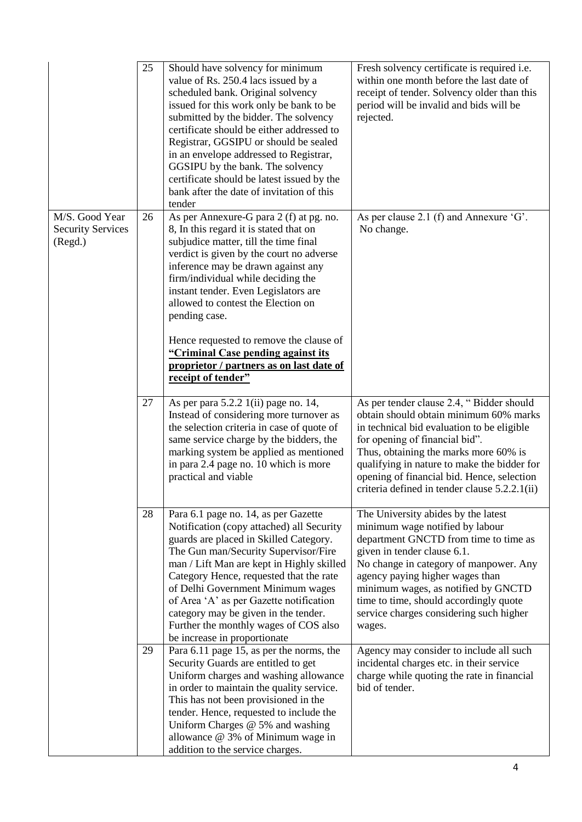|                                                       | 25 | Should have solvency for minimum<br>value of Rs. 250.4 lacs issued by a<br>scheduled bank. Original solvency<br>issued for this work only be bank to be<br>submitted by the bidder. The solvency<br>certificate should be either addressed to<br>Registrar, GGSIPU or should be sealed<br>in an envelope addressed to Registrar,<br>GGSIPU by the bank. The solvency<br>certificate should be latest issued by the<br>bank after the date of invitation of this<br>tender                            | Fresh solvency certificate is required i.e.<br>within one month before the last date of<br>receipt of tender. Solvency older than this<br>period will be invalid and bids will be<br>rejected.                                                                                                                                                                    |
|-------------------------------------------------------|----|------------------------------------------------------------------------------------------------------------------------------------------------------------------------------------------------------------------------------------------------------------------------------------------------------------------------------------------------------------------------------------------------------------------------------------------------------------------------------------------------------|-------------------------------------------------------------------------------------------------------------------------------------------------------------------------------------------------------------------------------------------------------------------------------------------------------------------------------------------------------------------|
| M/S. Good Year<br><b>Security Services</b><br>(Regd.) | 26 | As per Annexure-G para 2 (f) at pg. no.<br>8, In this regard it is stated that on<br>subjudice matter, till the time final<br>verdict is given by the court no adverse<br>inference may be drawn against any<br>firm/individual while deciding the<br>instant tender. Even Legislators are<br>allowed to contest the Election on<br>pending case.<br>Hence requested to remove the clause of<br>"Criminal Case pending against its<br>proprietor / partners as on last date of<br>receipt of tender" | As per clause 2.1 (f) and Annexure $G'$ .<br>No change.                                                                                                                                                                                                                                                                                                           |
|                                                       | 27 | As per para 5.2.2 1(ii) page no. 14,<br>Instead of considering more turnover as<br>the selection criteria in case of quote of<br>same service charge by the bidders, the<br>marking system be applied as mentioned<br>in para 2.4 page no. 10 which is more<br>practical and viable                                                                                                                                                                                                                  | As per tender clause 2.4, "Bidder should<br>obtain should obtain minimum 60% marks<br>in technical bid evaluation to be eligible<br>for opening of financial bid".<br>Thus, obtaining the marks more 60% is<br>qualifying in nature to make the bidder for<br>opening of financial bid. Hence, selection<br>criteria defined in tender clause 5.2.2.1(ii)         |
|                                                       | 28 | Para 6.1 page no. 14, as per Gazette<br>Notification (copy attached) all Security<br>guards are placed in Skilled Category.<br>The Gun man/Security Supervisor/Fire<br>man / Lift Man are kept in Highly skilled<br>Category Hence, requested that the rate<br>of Delhi Government Minimum wages<br>of Area 'A' as per Gazette notification<br>category may be given in the tender.<br>Further the monthly wages of COS also<br>be increase in proportionate                                         | The University abides by the latest<br>minimum wage notified by labour<br>department GNCTD from time to time as<br>given in tender clause 6.1.<br>No change in category of manpower. Any<br>agency paying higher wages than<br>minimum wages, as notified by GNCTD<br>time to time, should accordingly quote<br>service charges considering such higher<br>wages. |
|                                                       | 29 | Para $6.11$ page 15, as per the norms, the<br>Security Guards are entitled to get<br>Uniform charges and washing allowance<br>in order to maintain the quality service.<br>This has not been provisioned in the<br>tender. Hence, requested to include the<br>Uniform Charges @ 5% and washing<br>allowance @ 3% of Minimum wage in<br>addition to the service charges.                                                                                                                              | Agency may consider to include all such<br>incidental charges etc. in their service<br>charge while quoting the rate in financial<br>bid of tender.                                                                                                                                                                                                               |